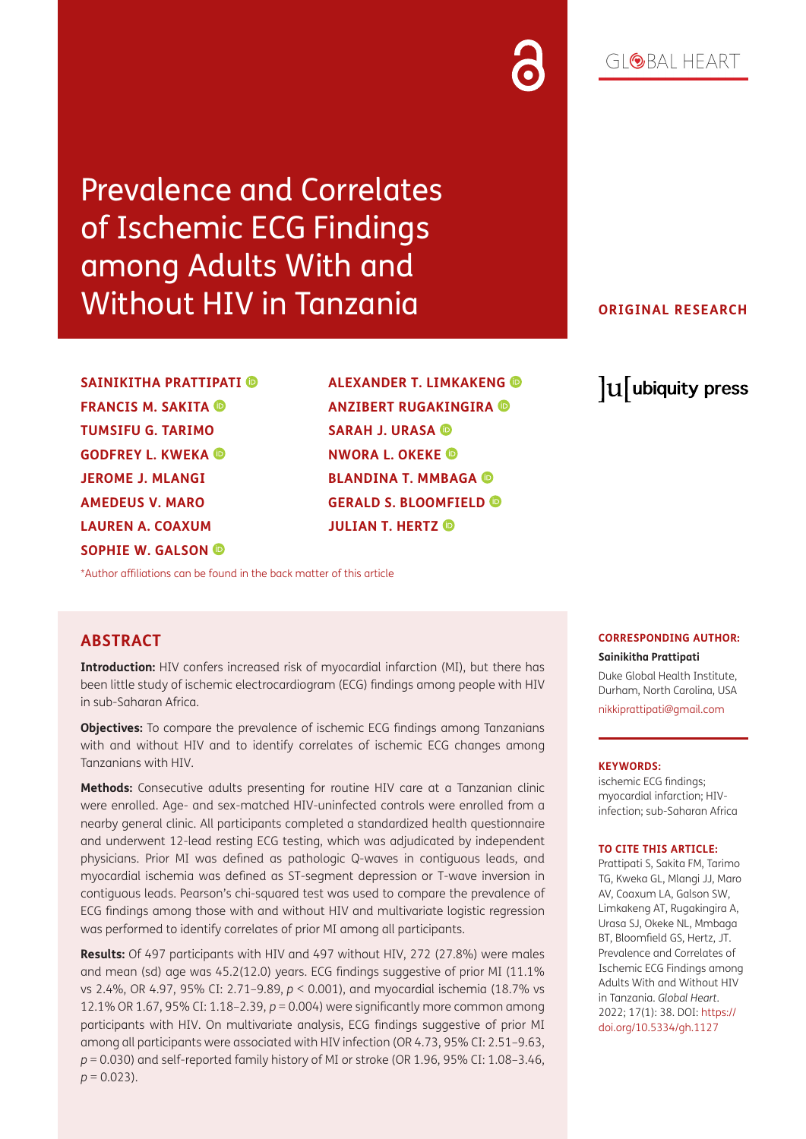# Prevalence and Correlates of Ischemic ECG Findings among Adults With and Without HIV in Tanzania

**SAINIKITHA PRATTIPATI FRANCIS M. SAKITA TUMSIFU G. TARIMO GODFREY L. KWEKA JEROME J. MLANGI AMEDEUS V. MARO LAUREN A. COAXUM SOPHIE W. GALSON** 

**ALEXANDER T. LIMKAKENG ANZIBERT RUGAKINGIRA SARAH J. URASA NWORA L. OKEKE BLANDINA T. MMBAGA GERALD S. BLOOMFIELD JULIAN T. HERTZ** 

### **ORIGINAL RESEARCH**

lu ubiquity press

[\\*Author affiliations can be found in the back matter of this article](#page-10-0)

#### **ABSTRACT**

**Introduction:** HIV confers increased risk of myocardial infarction (MI), but there has been little study of ischemic electrocardiogram (ECG) findings among people with HIV in sub-Saharan Africa.

**Objectives:** To compare the prevalence of ischemic ECG findings among Tanzanians with and without HIV and to identify correlates of ischemic ECG changes among Tanzanians with HIV.

**Methods:** Consecutive adults presenting for routine HIV care at a Tanzanian clinic were enrolled. Age- and sex-matched HIV-uninfected controls were enrolled from a nearby general clinic. All participants completed a standardized health questionnaire and underwent 12-lead resting ECG testing, which was adjudicated by independent physicians. Prior MI was defined as pathologic Q-waves in contiguous leads, and myocardial ischemia was defined as ST-segment depression or T-wave inversion in contiguous leads. Pearson's chi-squared test was used to compare the prevalence of ECG findings among those with and without HIV and multivariate logistic regression was performed to identify correlates of prior MI among all participants.

**Results:** Of 497 participants with HIV and 497 without HIV, 272 (27.8%) were males and mean (sd) age was 45.2(12.0) years. ECG findings suggestive of prior MI (11.1% vs 2.4%, OR 4.97, 95% CI: 2.71–9.89, *p* < 0.001), and myocardial ischemia (18.7% vs 12.1% OR 1.67, 95% CI: 1.18–2.39, *p* = 0.004) were significantly more common among participants with HIV. On multivariate analysis, ECG findings suggestive of prior MI among all participants were associated with HIV infection (OR 4.73, 95% CI: 2.51–9.63, *p* = 0.030) and self-reported family history of MI or stroke (OR 1.96, 95% CI: 1.08–3.46,  $p = 0.023$ ).

#### **CORRESPONDING AUTHOR:**

**Sainikitha Prattipati** Duke Global Health Institute, Durham, North Carolina, USA [nikkiprattipati@gmail.com](mailto:nikkiprattipati@gmail.com)

#### **KEYWORDS:**

ischemic ECG findings; myocardial infarction; HIVinfection; sub-Saharan Africa

#### **TO CITE THIS ARTICLE:**

Prattipati S, Sakita FM, Tarimo TG, Kweka GL, Mlangi JJ, Maro AV, Coaxum LA, Galson SW, Limkakeng AT, Rugakingira A, Urasa SJ, Okeke NL, Mmbaga BT, Bloomfield GS, Hertz, JT. Prevalence and Correlates of Ischemic ECG Findings among Adults With and Without HIV in Tanzania. *Global Heart*. 2022; 17(1): 38. DOI: [https://](https://doi.org/10.5334/gh.1127) [doi.org/10.5334/gh.1127](https://doi.org/10.5334/gh.1127)

# GIOBAL HEART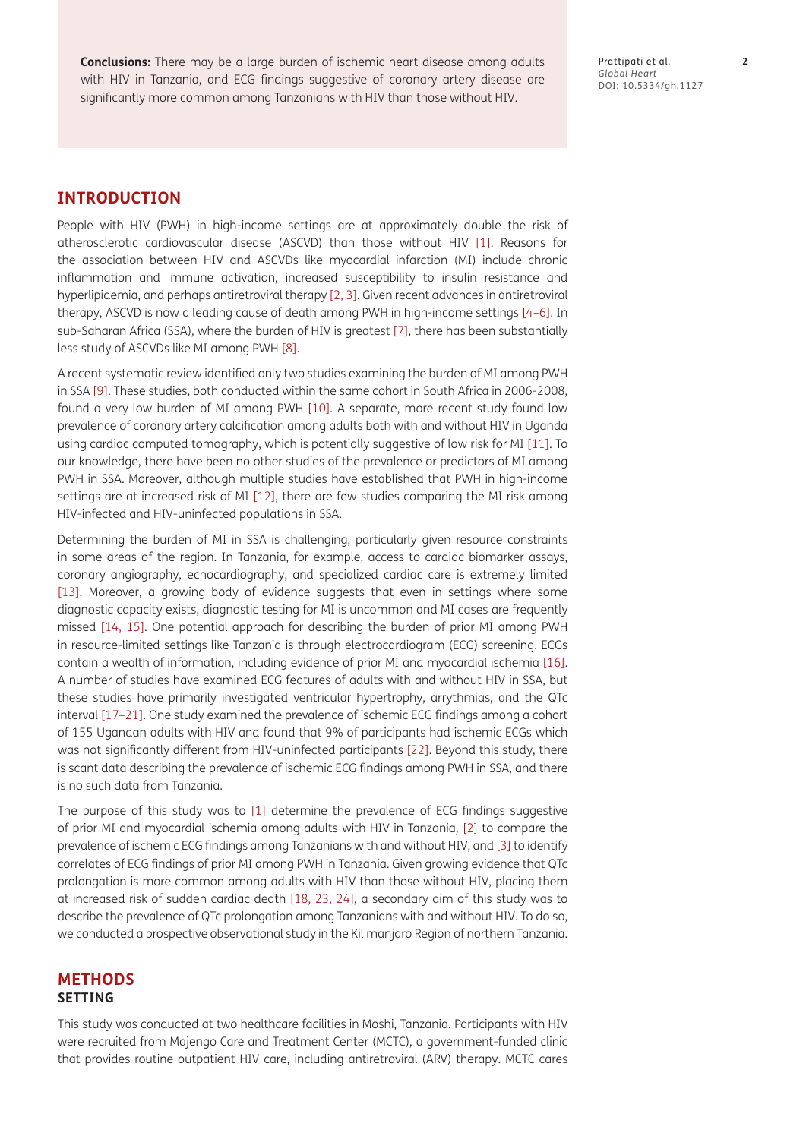**Conclusions:** There may be a large burden of ischemic heart disease among adults with HIV in Tanzania, and ECG findings suggestive of coronary artery disease are significantly more common among Tanzanians with HIV than those without HIV.

Prattipati et al. **2** *Global Heart* DOI: 10.5334/gh.1127

#### **INTRODUCTION**

People with HIV (PWH) in high-income settings are at approximately double the risk of atherosclerotic cardiovascular disease (ASCVD) than those without HIV [\[1\].](#page-10-1) Reasons for the association between HIV and ASCVDs like myocardial infarction (MI) include chronic inflammation and immune activation, increased susceptibility to insulin resistance and hyperlipidemia, and perhaps antiretroviral therapy [[2,](#page-10-2) [3\]](#page-10-3). Given recent advances in antiretroviral therapy, ASCVD is now a leading cause of death among PWH in high-income settings [[4](#page-11-0)[–6\]](#page-11-1). In sub-Saharan Africa (SSA), where the burden of HIV is greatest [\[7\],](#page-11-2) there has been substantially less study of ASCVDs like MI among PWH [\[8](#page-11-3)].

A recent systematic review identified only two studies examining the burden of MI among PWH in SSA [\[9\].](#page-11-4) These studies, both conducted within the same cohort in South Africa in 2006-2008, found a very low burden of MI among PWH [\[10\].](#page-11-5) A separate, more recent study found low prevalence of coronary artery calcification among adults both with and without HIV in Uganda using cardiac computed tomography, which is potentially suggestive of low risk for MI [\[11\].](#page-11-6) To our knowledge, there have been no other studies of the prevalence or predictors of MI among PWH in SSA. Moreover, although multiple studies have established that PWH in high-income settings are at increased risk of MI [\[12\]](#page-11-7), there are few studies comparing the MI risk among HIV-infected and HIV-uninfected populations in SSA.

Determining the burden of MI in SSA is challenging, particularly given resource constraints in some areas of the region. In Tanzania, for example, access to cardiac biomarker assays, coronary angiography, echocardiography, and specialized cardiac care is extremely limited [\[13\].](#page-11-8) Moreover, a growing body of evidence suggests that even in settings where some diagnostic capacity exists, diagnostic testing for MI is uncommon and MI cases are frequently missed [\[14,](#page-11-9) [15\]](#page-11-10). One potential approach for describing the burden of prior MI among PWH in resource-limited settings like Tanzania is through electrocardiogram (ECG) screening. ECGs contain a wealth of information, including evidence of prior MI and myocardial ischemia [\[16\]](#page-11-11). A number of studies have examined ECG features of adults with and without HIV in SSA, but these studies have primarily investigated ventricular hypertrophy, arrythmias, and the QTc interval [[17](#page-11-12)[–21\]](#page-11-13). One study examined the prevalence of ischemic ECG findings among a cohort of 155 Ugandan adults with HIV and found that 9% of participants had ischemic ECGs which was not significantly different from HIV-uninfected participants [\[22\].](#page-11-14) Beyond this study, there is scant data describing the prevalence of ischemic ECG findings among PWH in SSA, and there is no such data from Tanzania.

The purpose of this study was to [\[1\]](#page-10-1) determine the prevalence of ECG findings suggestive of prior MI and myocardial ischemia among adults with HIV in Tanzania, [\[2\]](#page-10-2) to compare the prevalence of ischemic ECG findings among Tanzanians with and without HIV, and [\[3\]](#page-10-3) to identify correlates of ECG findings of prior MI among PWH in Tanzania. Given growing evidence that QTc prolongation is more common among adults with HIV than those without HIV, placing them at increased risk of sudden cardiac death [\[18,](#page-11-15) [23](#page-11-16), [24\]](#page-12-0), a secondary aim of this study was to describe the prevalence of QTc prolongation among Tanzanians with and without HIV. To do so, we conducted a prospective observational study in the Kilimanjaro Region of northern Tanzania.

#### **METHODS SETTING**

This study was conducted at two healthcare facilities in Moshi, Tanzania. Participants with HIV were recruited from Majengo Care and Treatment Center (MCTC), a government-funded clinic that provides routine outpatient HIV care, including antiretroviral (ARV) therapy. MCTC cares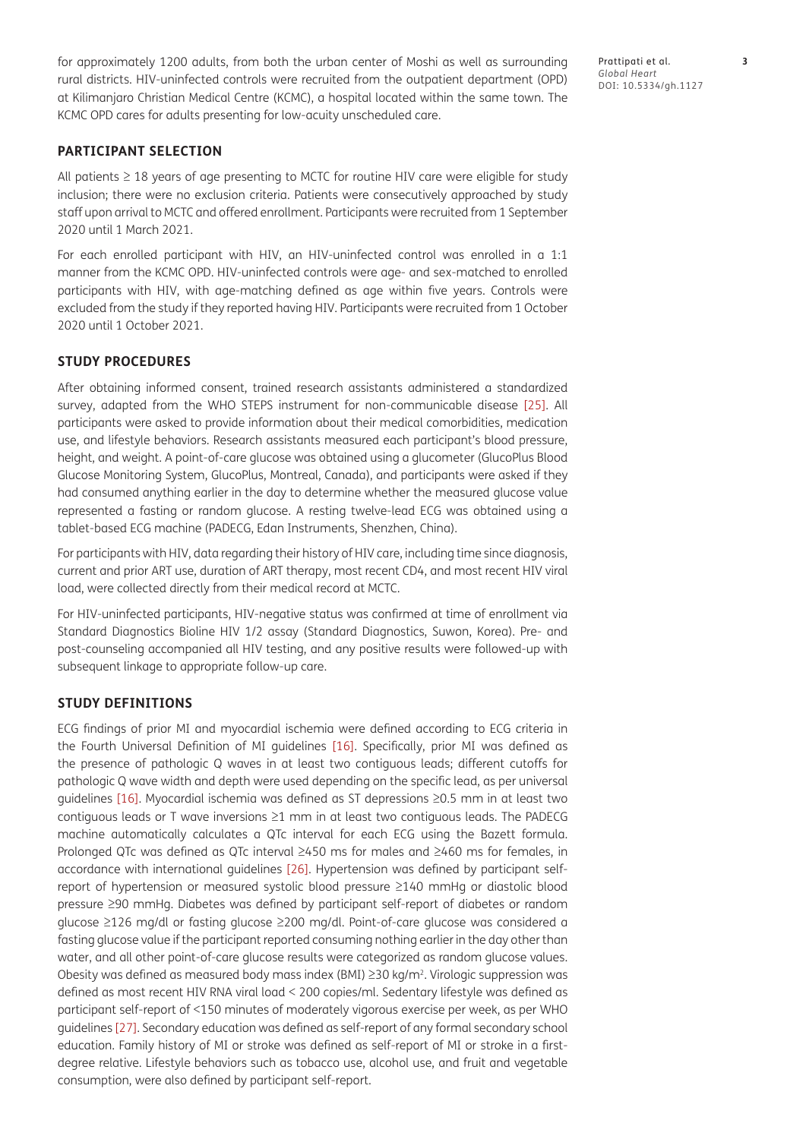for approximately 1200 adults, from both the urban center of Moshi as well as surrounding rural districts. HIV-uninfected controls were recruited from the outpatient department (OPD) at Kilimanjaro Christian Medical Centre (KCMC), a hospital located within the same town. The KCMC OPD cares for adults presenting for low-acuity unscheduled care.

#### **PARTICIPANT SELECTION**

All patients ≥ 18 years of age presenting to MCTC for routine HIV care were eligible for study inclusion; there were no exclusion criteria. Patients were consecutively approached by study staff upon arrival to MCTC and offered enrollment. Participants were recruited from 1 September 2020 until 1 March 2021.

For each enrolled participant with HIV, an HIV-uninfected control was enrolled in a 1:1 manner from the KCMC OPD. HIV-uninfected controls were age- and sex-matched to enrolled participants with HIV, with age-matching defined as age within five years. Controls were excluded from the study if they reported having HIV. Participants were recruited from 1 October 2020 until 1 October 2021.

#### **STUDY PROCEDURES**

After obtaining informed consent, trained research assistants administered a standardized survey, adapted from the WHO STEPS instrument for non-communicable disease [\[25\]](#page-12-1). All participants were asked to provide information about their medical comorbidities, medication use, and lifestyle behaviors. Research assistants measured each participant's blood pressure, height, and weight. A point-of-care glucose was obtained using a glucometer (GlucoPlus Blood Glucose Monitoring System, GlucoPlus, Montreal, Canada), and participants were asked if they had consumed anything earlier in the day to determine whether the measured glucose value represented a fasting or random glucose. A resting twelve-lead ECG was obtained using a tablet-based ECG machine (PADECG, Edan Instruments, Shenzhen, China).

For participants with HIV, data regarding their history of HIV care, including time since diagnosis, current and prior ART use, duration of ART therapy, most recent CD4, and most recent HIV viral load, were collected directly from their medical record at MCTC.

For HIV-uninfected participants, HIV-negative status was confirmed at time of enrollment via Standard Diagnostics Bioline HIV 1/2 assay (Standard Diagnostics, Suwon, Korea). Pre- and post-counseling accompanied all HIV testing, and any positive results were followed-up with subsequent linkage to appropriate follow-up care.

#### **STUDY DEFINITIONS**

ECG findings of prior MI and myocardial ischemia were defined according to ECG criteria in the Fourth Universal Definition of MI guidelines [\[16\].](#page-11-11) Specifically, prior MI was defined as the presence of pathologic Q waves in at least two contiguous leads; different cutoffs for pathologic Q wave width and depth were used depending on the specific lead, as per universal guidelines [\[16\]](#page-11-11). Myocardial ischemia was defined as ST depressions ≥0.5 mm in at least two contiguous leads or T wave inversions ≥1 mm in at least two contiguous leads. The PADECG machine automatically calculates a QTc interval for each ECG using the Bazett formula. Prolonged QTc was defined as QTc interval ≥450 ms for males and ≥460 ms for females, in accordance with international guidelines [\[26\].](#page-12-2) Hypertension was defined by participant selfreport of hypertension or measured systolic blood pressure ≥140 mmHg or diastolic blood pressure ≥90 mmHg. Diabetes was defined by participant self-report of diabetes or random glucose ≥126 mg/dl or fasting glucose ≥200 mg/dl. Point-of-care glucose was considered a fasting glucose value if the participant reported consuming nothing earlier in the day other than water, and all other point-of-care glucose results were categorized as random glucose values. Obesity was defined as measured body mass index (BMI) ≥30 kg/m2. Virologic suppression was defined as most recent HIV RNA viral load < 200 copies/ml. Sedentary lifestyle was defined as participant self-report of <150 minutes of moderately vigorous exercise per week, as per WHO guidelines [\[27\]](#page-12-3). Secondary education was defined as self-report of any formal secondary school education. Family history of MI or stroke was defined as self-report of MI or stroke in a firstdegree relative. Lifestyle behaviors such as tobacco use, alcohol use, and fruit and vegetable consumption, were also defined by participant self-report.

Prattipati et al. **3** *Global Heart* DOI: 10.5334/gh.1127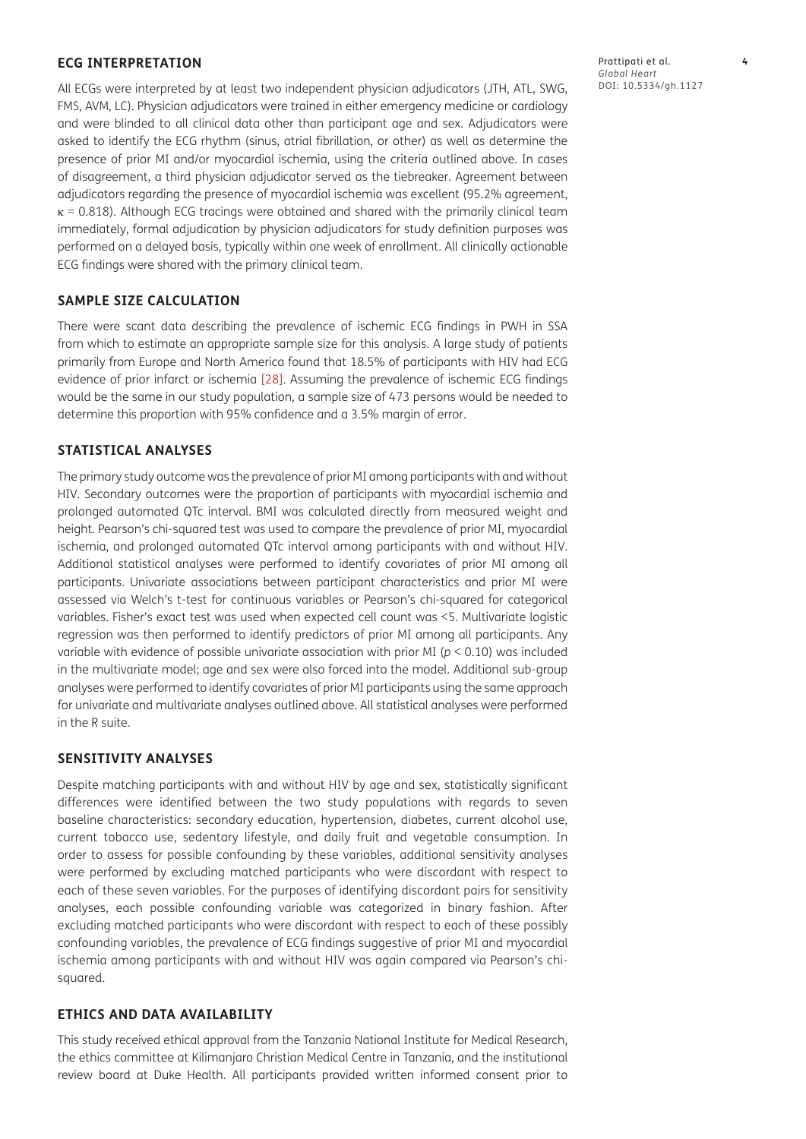#### **ECG INTERPRETATION**

All ECGs were interpreted by at least two independent physician adjudicators (JTH, ATL, SWG, FMS, AVM, LC). Physician adjudicators were trained in either emergency medicine or cardiology and were blinded to all clinical data other than participant age and sex. Adjudicators were asked to identify the ECG rhythm (sinus, atrial fibrillation, or other) as well as determine the presence of prior MI and/or myocardial ischemia, using the criteria outlined above. In cases of disagreement, a third physician adjudicator served as the tiebreaker. Agreement between adjudicators regarding the presence of myocardial ischemia was excellent (95.2% agreement,  $\kappa$  = 0.818). Although ECG tracings were obtained and shared with the primarily clinical team immediately, formal adjudication by physician adjudicators for study definition purposes was performed on a delayed basis, typically within one week of enrollment. All clinically actionable ECG findings were shared with the primary clinical team.

#### **SAMPLE SIZE CALCULATION**

There were scant data describing the prevalence of ischemic ECG findings in PWH in SSA from which to estimate an appropriate sample size for this analysis. A large study of patients primarily from Europe and North America found that 18.5% of participants with HIV had ECG evidence of prior infarct or ischemia [\[28\]](#page-12-4). Assuming the prevalence of ischemic ECG findings would be the same in our study population, a sample size of 473 persons would be needed to determine this proportion with 95% confidence and a 3.5% margin of error.

#### **STATISTICAL ANALYSES**

The primary study outcome was the prevalence of prior MI among participants with and without HIV. Secondary outcomes were the proportion of participants with myocardial ischemia and prolonged automated QTc interval. BMI was calculated directly from measured weight and height. Pearson's chi-squared test was used to compare the prevalence of prior MI, myocardial ischemia, and prolonged automated QTc interval among participants with and without HIV. Additional statistical analyses were performed to identify covariates of prior MI among all participants. Univariate associations between participant characteristics and prior MI were assessed via Welch's t-test for continuous variables or Pearson's chi-squared for categorical variables. Fisher's exact test was used when expected cell count was <5. Multivariate logistic regression was then performed to identify predictors of prior MI among all participants. Any variable with evidence of possible univariate association with prior MI (*p* < 0.10) was included in the multivariate model; age and sex were also forced into the model. Additional sub-group analyses were performed to identify covariates of prior MI participants using the same approach for univariate and multivariate analyses outlined above. All statistical analyses were performed in the R suite.

#### **SENSITIVITY ANALYSES**

Despite matching participants with and without HIV by age and sex, statistically significant differences were identified between the two study populations with regards to seven baseline characteristics: secondary education, hypertension, diabetes, current alcohol use, current tobacco use, sedentary lifestyle, and daily fruit and vegetable consumption. In order to assess for possible confounding by these variables, additional sensitivity analyses were performed by excluding matched participants who were discordant with respect to each of these seven variables. For the purposes of identifying discordant pairs for sensitivity analyses, each possible confounding variable was categorized in binary fashion. After excluding matched participants who were discordant with respect to each of these possibly confounding variables, the prevalence of ECG findings suggestive of prior MI and myocardial ischemia among participants with and without HIV was again compared via Pearson's chisquared.

#### **ETHICS AND DATA AVAILABILITY**

This study received ethical approval from the Tanzania National Institute for Medical Research, the ethics committee at Kilimanjaro Christian Medical Centre in Tanzania, and the institutional review board at Duke Health. All participants provided written informed consent prior to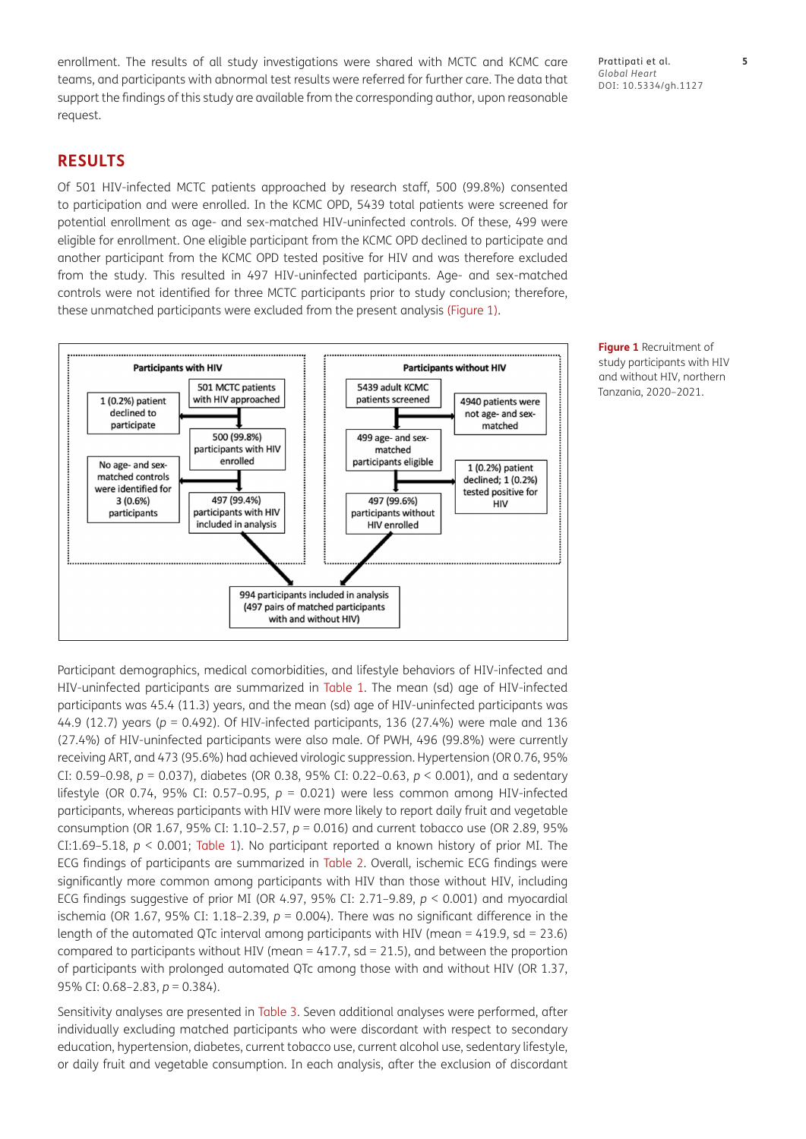enrollment. The results of all study investigations were shared with MCTC and KCMC care teams, and participants with abnormal test results were referred for further care. The data that support the findings of this study are available from the corresponding author, upon reasonable request.

**RESULTS**

Of 501 HIV-infected MCTC patients approached by research staff, 500 (99.8%) consented to participation and were enrolled. In the KCMC OPD, 5439 total patients were screened for potential enrollment as age- and sex-matched HIV-uninfected controls. Of these, 499 were eligible for enrollment. One eligible participant from the KCMC OPD declined to participate and another participant from the KCMC OPD tested positive for HIV and was therefore excluded from the study. This resulted in 497 HIV-uninfected participants. Age- and sex-matched controls were not identified for three MCTC participants prior to study conclusion; therefore, these unmatched participants were excluded from the present analysis [\(Figure 1\).](#page-4-0)



<span id="page-4-0"></span>**Figure 1** Recruitment of study participants with HIV and without HIV, northern Tanzania, 2020–2021.

Participant demographics, medical comorbidities, and lifestyle behaviors of HIV-infected and HIV-uninfected participants are summarized in [Table 1.](#page-5-0) The mean (sd) age of HIV-infected participants was 45.4 (11.3) years, and the mean (sd) age of HIV-uninfected participants was 44.9 (12.7) years (*p* = 0.492). Of HIV-infected participants, 136 (27.4%) were male and 136 (27.4%) of HIV-uninfected participants were also male. Of PWH, 496 (99.8%) were currently receiving ART, and 473 (95.6%) had achieved virologic suppression. Hypertension (OR 0.76, 95% CI: 0.59–0.98, *p* = 0.037), diabetes (OR 0.38, 95% CI: 0.22–0.63, *p* < 0.001), and a sedentary lifestyle (OR 0.74, 95% CI: 0.57–0.95, *p* = 0.021) were less common among HIV-infected participants, whereas participants with HIV were more likely to report daily fruit and vegetable consumption (OR 1.67, 95% CI: 1.10–2.57, *p* = 0.016) and current tobacco use (OR 2.89, 95% CI:1.69–5.18,  $p < 0.001$ ; [Table 1](#page-5-0)). No participant reported a known history of prior MI. The ECG findings of participants are summarized in [Table 2.](#page-6-0) Overall, ischemic ECG findings were significantly more common among participants with HIV than those without HIV, including ECG findings suggestive of prior MI (OR 4.97, 95% CI: 2.71–9.89, *p* < 0.001) and myocardial ischemia (OR 1.67, 95% CI: 1.18–2.39, *p* = 0.004). There was no significant difference in the length of the automated QTc interval among participants with HIV (mean = 419.9, sd = 23.6) compared to participants without HIV (mean  $= 417.7$ , sd  $= 21.5$ ), and between the proportion of participants with prolonged automated QTc among those with and without HIV (OR 1.37, 95% CI: 0.68–2.83, *p* = 0.384).

Sensitivity analyses are presented in [Table 3.](#page-6-1) Seven additional analyses were performed, after individually excluding matched participants who were discordant with respect to secondary education, hypertension, diabetes, current tobacco use, current alcohol use, sedentary lifestyle, or daily fruit and vegetable consumption. In each analysis, after the exclusion of discordant

*Global Heart* DOI: 10.5334/gh.1127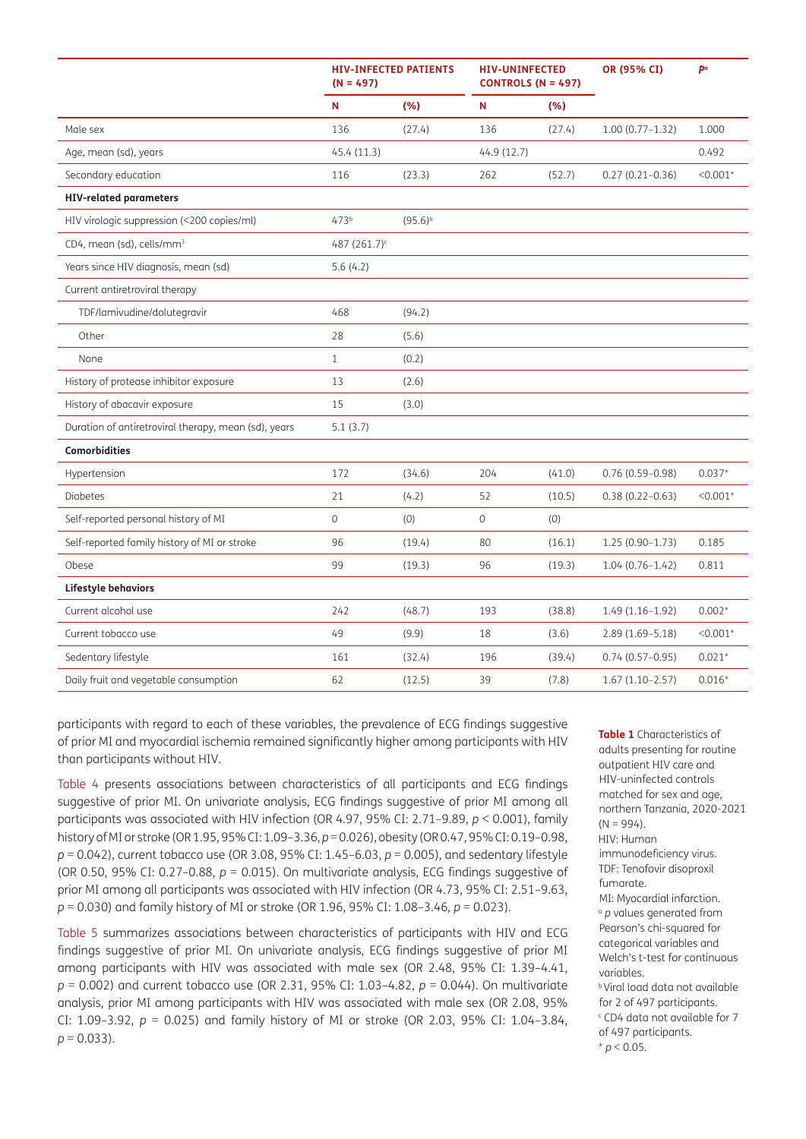|                                                      | <b>HIV-INFECTED PATIENTS</b><br>$(N = 497)$ |              | <b>HIV-UNINFECTED</b><br><b>CONTROLS (N = 497)</b> |        | OR (95% CI)         | P <sup>a</sup> |
|------------------------------------------------------|---------------------------------------------|--------------|----------------------------------------------------|--------|---------------------|----------------|
|                                                      | N                                           | (% )         | N                                                  | (%)    |                     |                |
| Male sex                                             | 136                                         | (27.4)       | 136                                                | (27.4) | $1.00(0.77 - 1.32)$ | 1.000          |
| Age, mean (sd), years                                | 45.4(11.3)                                  |              | 44.9 (12.7)                                        |        |                     | 0.492          |
| Secondary education                                  | 116                                         | (23.3)       | 262                                                | (52.7) | $0.27(0.21 - 0.36)$ | $< 0.001*$     |
| <b>HIV-related parameters</b>                        |                                             |              |                                                    |        |                     |                |
| HIV virologic suppression (<200 copies/ml)           | 473 <sup>b</sup>                            | $(95.6)^{b}$ |                                                    |        |                     |                |
| CD4, mean (sd), cells/mm <sup>3</sup>                | 487 (261.7) <sup>c</sup>                    |              |                                                    |        |                     |                |
| Years since HIV diagnosis, mean (sd)                 | 5.6(4.2)                                    |              |                                                    |        |                     |                |
| Current antiretroviral therapy                       |                                             |              |                                                    |        |                     |                |
| TDF/lamivudine/dolutegravir                          | 468                                         | (94.2)       |                                                    |        |                     |                |
| Other                                                | 28                                          | (5.6)        |                                                    |        |                     |                |
| None                                                 | $\mathbf{1}$                                | (0.2)        |                                                    |        |                     |                |
| History of protease inhibitor exposure               | 13                                          | (2.6)        |                                                    |        |                     |                |
| History of abacavir exposure                         | 15                                          | (3.0)        |                                                    |        |                     |                |
| Duration of antiretroviral therapy, mean (sd), years | 5.1(3.7)                                    |              |                                                    |        |                     |                |
| <b>Comorbidities</b>                                 |                                             |              |                                                    |        |                     |                |
| Hypertension                                         | 172                                         | (34.6)       | 204                                                | (41.0) | $0.76(0.59 - 0.98)$ | $0.037*$       |
| <b>Diabetes</b>                                      | 21                                          | (4.2)        | 52                                                 | (10.5) | $0.38(0.22 - 0.63)$ | $< 0.001*$     |
| Self-reported personal history of MI                 | $\mathbf 0$                                 | (0)          | 0                                                  | (0)    |                     |                |
| Self-reported family history of MI or stroke         | 96                                          | (19.4)       | 80                                                 | (16.1) | $1.25(0.90-1.73)$   | 0.185          |
| Obese                                                | 99                                          | (19.3)       | 96                                                 | (19.3) | $1.04(0.76 - 1.42)$ | 0.811          |
| Lifestyle behaviors                                  |                                             |              |                                                    |        |                     |                |
| Current alcohol use                                  | 242                                         | (48.7)       | 193                                                | (38.8) | $1.49(1.16-1.92)$   | $0.002*$       |
| Current tobacco use                                  | 49                                          | (9.9)        | 18                                                 | (3.6)  | $2.89(1.69 - 5.18)$ | $< 0.001*$     |
| Sedentary lifestyle                                  | 161                                         | (32.4)       | 196                                                | (39.4) | $0.74(0.57-0.95)$   | $0.021*$       |
| Daily fruit and vegetable consumption                | 62                                          | (12.5)       | 39                                                 | (7.8)  | $1.67(1.10-2.57)$   | $0.016*$       |

participants with regard to each of these variables, the prevalence of ECG findings suggestive of prior MI and myocardial ischemia remained significantly higher among participants with HIV than participants without HIV.

[Table 4](#page-7-0) presents associations between characteristics of all participants and ECG findings suggestive of prior MI. On univariate analysis, ECG findings suggestive of prior MI among all participants was associated with HIV infection (OR 4.97, 95% CI: 2.71–9.89, *p* < 0.001), family history of MI or stroke (OR 1.95, 95% CI: 1.09–3.36, *p* = 0.026), obesity (OR 0.47, 95% CI: 0.19–0.98, *p* = 0.042), current tobacco use (OR 3.08, 95% CI: 1.45–6.03, *p* = 0.005), and sedentary lifestyle (OR 0.50, 95% CI:  $0.27 - 0.88$ ,  $p = 0.015$ ). On multivariate analysis, ECG findings suggestive of prior MI among all participants was associated with HIV infection (OR 4.73, 95% CI: 2.51–9.63, *p* = 0.030) and family history of MI or stroke (OR 1.96, 95% CI: 1.08–3.46, *p* = 0.023).

[Table 5](#page-8-0) summarizes associations between characteristics of participants with HIV and ECG findings suggestive of prior MI. On univariate analysis, ECG findings suggestive of prior MI among participants with HIV was associated with male sex (OR 2.48, 95% CI: 1.39–4.41, *p* = 0.002) and current tobacco use (OR 2.31, 95% CI: 1.03–4.82, *p* = 0.044). On multivariate analysis, prior MI among participants with HIV was associated with male sex (OR 2.08, 95% CI: 1.09–3.92, *p* = 0.025) and family history of MI or stroke (OR 2.03, 95% CI: 1.04–3.84,  $p = 0.033$ ).

<span id="page-5-0"></span>**Table 1** Characteristics of adults presenting for routine outpatient HIV care and HIV-uninfected controls matched for sex and age, northern Tanzania, 2020-2021  $(N = 994)$ . HIV: Human immunodeficiency virus. TDF: Tenofovir disoproxil fumarate. MI: Myocardial infarction. <sup>a</sup> *p* values generated from Pearson's chi-squared for categorical variables and Welch's t-test for continuous variables. b Viral load data not available for 2 of 497 participants. c CD4 data not available for 7 of 497 participants.

 $* p < 0.05$ .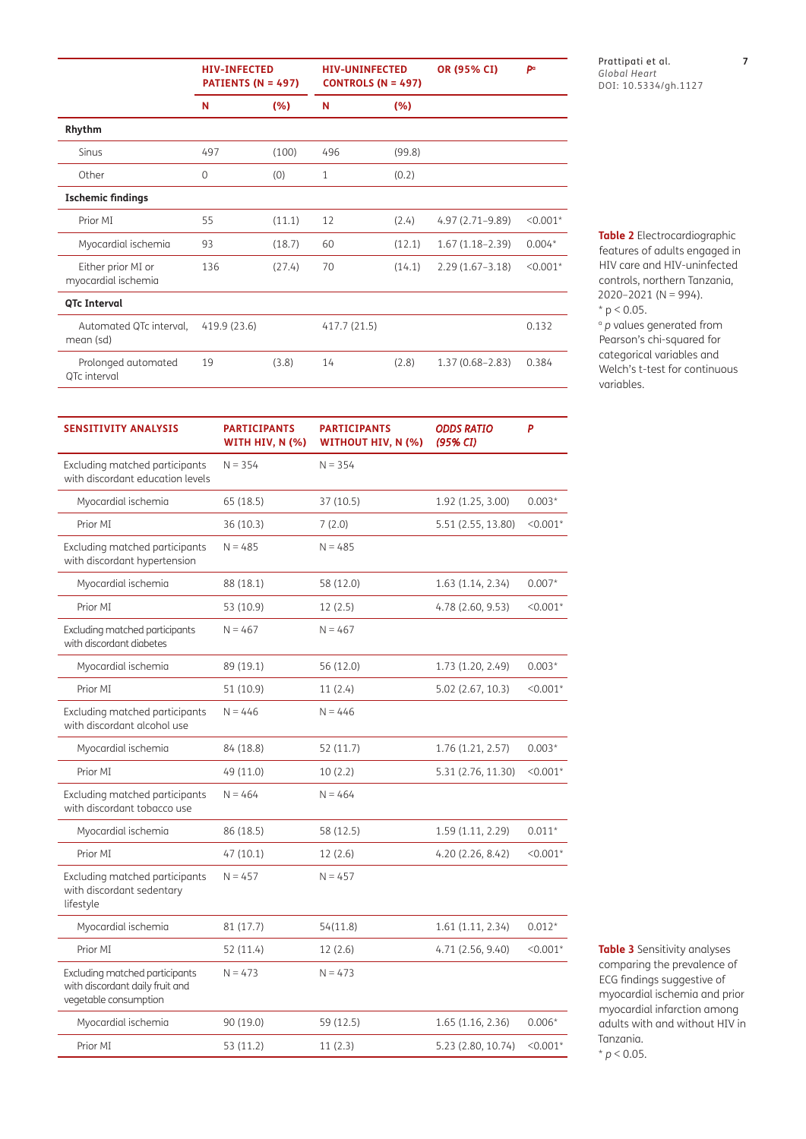|                                           | <b>HIV-INFECTED</b><br>PATIENTS (N = 497) |        | <b>HIV-UNINFECTED</b><br><b>CONTROLS (N = 497)</b> |        | OR (95% CI)         | pa         |
|-------------------------------------------|-------------------------------------------|--------|----------------------------------------------------|--------|---------------------|------------|
|                                           | N                                         | (% )   | N                                                  | (%)    |                     |            |
| Rhythm                                    |                                           |        |                                                    |        |                     |            |
| Sinus                                     | 497                                       | (100)  | 496                                                | (99.8) |                     |            |
| Other                                     | $\Omega$                                  | (0)    | $\mathbf{1}$                                       | (0.2)  |                     |            |
| <b>Ischemic findings</b>                  |                                           |        |                                                    |        |                     |            |
| Prior MI                                  | 55                                        | (11.1) | 12                                                 | (2.4)  | 4.97 (2.71-9.89)    | $< 0.001*$ |
| Myocardial ischemia                       | 93                                        | (18.7) | 60                                                 | (12.1) | $1.67(1.18-2.39)$   | $0.004*$   |
| Either prior MI or<br>myocardial ischemia | 136                                       | (27.4) | 70                                                 | (14.1) | $2.29(1.67 - 3.18)$ | $< 0.001*$ |
| QTc Interval                              |                                           |        |                                                    |        |                     |            |
| Automated QTc interval,<br>mean (sd)      | 419.9 (23.6)                              |        | 417.7 (21.5)                                       |        |                     | 0.132      |
| Prolonged automated<br>QTc interval       | 19                                        | (3.8)  | 14                                                 | (2.8)  | $1.37(0.68 - 2.83)$ | 0.384      |

Prattipati et al. **7** *Global Heart* DOI: 10.5334/gh.1127

<span id="page-6-0"></span>**Table 2** Electrocardiographic features of adults engaged in HIV care and HIV-uninfected controls, northern Tanzania,  $2020 - 2021$  (N = 994).  $*$  p < 0.05.

<sup>a</sup> *p* values generated from Pearson's chi-squared for categorical variables and Welch's t-test for continuous variables.

| <b>SENSITIVITY ANALYSIS</b>                                                                | <b>PARTICIPANTS</b><br><b>WITH HIV, N (%)</b> | <b>PARTICIPANTS</b><br><b>WITHOUT HIV, N (%)</b> | <b>ODDS RATIO</b><br>(95% CI) | P          |
|--------------------------------------------------------------------------------------------|-----------------------------------------------|--------------------------------------------------|-------------------------------|------------|
| Excluding matched participants<br>with discordant education levels                         | $N = 354$                                     | $N = 354$                                        |                               |            |
| Myocardial ischemia                                                                        | 65 (18.5)                                     | 37(10.5)                                         | 1.92 (1.25, 3.00)             | $0.003*$   |
| Prior MI                                                                                   | 36 (10.3)                                     | 7(2.0)                                           | 5.51 (2.55, 13.80)            | $< 0.001*$ |
| Excluding matched participants<br>with discordant hypertension                             | $N = 485$                                     | $N = 485$                                        |                               |            |
| Myocardial ischemia                                                                        | 88 (18.1)                                     | 58 (12.0)                                        | 1.63 (1.14, 2.34)             | $0.007*$   |
| Prior MI                                                                                   | 53 (10.9)                                     | 12(2.5)                                          | 4.78 (2.60, 9.53)             | $< 0.001*$ |
| Excluding matched participants<br>with discordant diabetes                                 | $N = 467$                                     | $N = 467$                                        |                               |            |
| Myocardial ischemia                                                                        | 89 (19.1)                                     | 56 (12.0)                                        | 1.73 (1.20, 2.49)             | $0.003*$   |
| Prior MI                                                                                   | 51 (10.9)                                     | 11(2.4)                                          | 5.02 (2.67, 10.3)             | $< 0.001*$ |
| Excluding matched participants<br>with discordant alcohol use                              | $N = 446$                                     | $N = 446$                                        |                               |            |
| Myocardial ischemia                                                                        | 84 (18.8)                                     | 52 (11.7)                                        | 1.76 (1.21, 2.57)             | $0.003*$   |
| Prior MI                                                                                   | 49 (11.0)                                     | 10(2.2)                                          | 5.31 (2.76, 11.30)            | $< 0.001*$ |
| Excluding matched participants<br>with discordant tobacco use                              | $N = 464$                                     | $N = 464$                                        |                               |            |
| Myocardial ischemia                                                                        | 86 (18.5)                                     | 58 (12.5)                                        | 1.59 (1.11, 2.29)             | $0.011*$   |
| Prior MI                                                                                   | 47 (10.1)                                     | 12(2.6)                                          | 4.20 (2.26, 8.42)             | $< 0.001*$ |
| Excluding matched participants<br>with discordant sedentary<br>lifestyle                   | $N = 457$                                     | $N = 457$                                        |                               |            |
| Myocardial ischemia                                                                        | 81 (17.7)                                     | 54(11.8)                                         | 1.61 (1.11, 2.34)             | $0.012*$   |
| Prior MI                                                                                   | 52 (11.4)                                     | 12(2.6)                                          | 4.71 (2.56, 9.40)             | $< 0.001*$ |
| Excluding matched participants<br>with discordant daily fruit and<br>vegetable consumption | $N = 473$                                     | $N = 473$                                        |                               |            |
| Myocardial ischemia                                                                        | 90 (19.0)                                     | 59 (12.5)                                        | 1.65 (1.16, 2.36)             | $0.006*$   |
| Prior MI                                                                                   | 53 (11.2)                                     | 11(2.3)                                          | 5.23 (2.80, 10.74)            | $< 0.001*$ |

<span id="page-6-1"></span>**Table 3** Sensitivity analyses comparing the prevalence of ECG findings suggestive of myocardial ischemia and prior myocardial infarction among adults with and without HIV in Tanzania.  $* p < 0.05$ .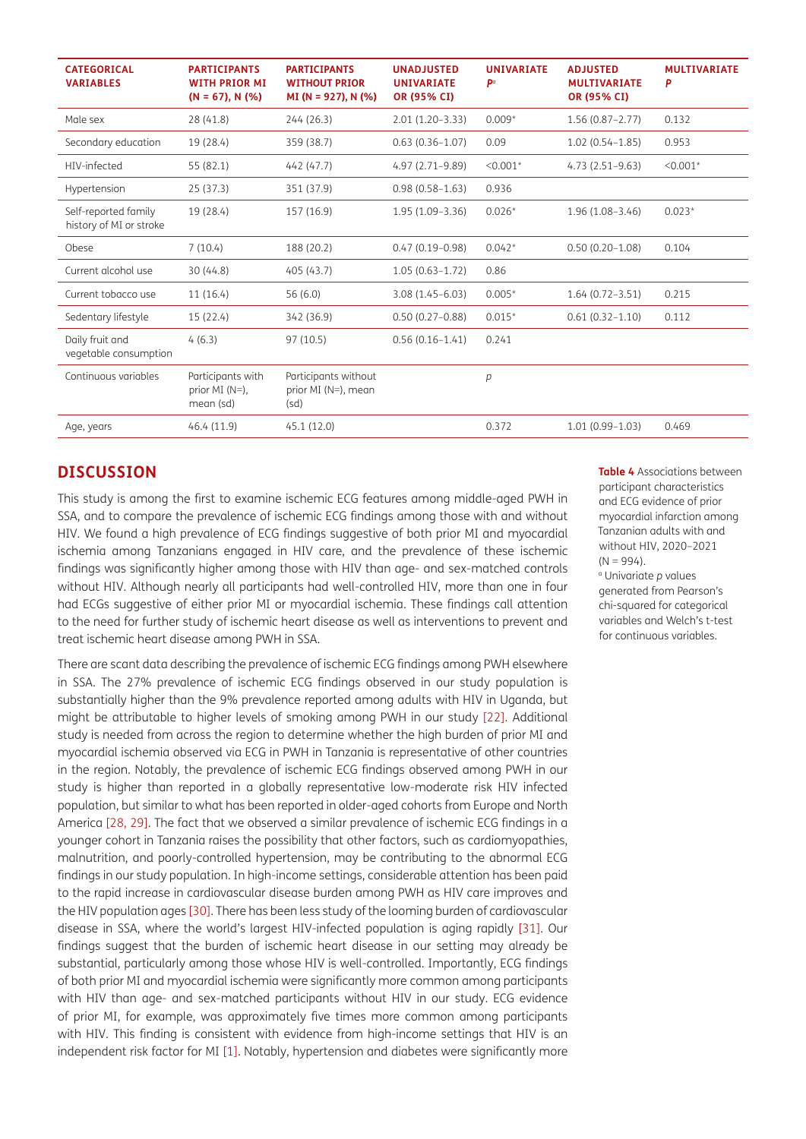| <b>CATEGORICAL</b><br><b>VARIABLES</b>          | <b>PARTICIPANTS</b><br><b>WITH PRIOR MI</b><br>$(N = 67)$ , N $(\%)$ | <b>PARTICIPANTS</b><br><b>WITHOUT PRIOR</b><br>$MI(N = 927)$ , N (%) | <b>UNADJUSTED</b><br><b>UNIVARIATE</b><br>OR (95% CI) | <b>UNIVARIATE</b><br>pa | <b>ADJUSTED</b><br><b>MULTIVARIATE</b><br>OR (95% CI) | <b>MULTIVARIATE</b><br>P |
|-------------------------------------------------|----------------------------------------------------------------------|----------------------------------------------------------------------|-------------------------------------------------------|-------------------------|-------------------------------------------------------|--------------------------|
| Male sex                                        | 28 (41.8)                                                            | 244 (26.3)                                                           | $2.01(1.20-3.33)$                                     | $0.009*$                | $1.56(0.87 - 2.77)$                                   | 0.132                    |
| Secondary education                             | 19 (28.4)                                                            | 359 (38.7)                                                           | $0.63(0.36 - 1.07)$                                   | 0.09                    | $1.02(0.54 - 1.85)$                                   | 0.953                    |
| HIV-infected                                    | 55 (82.1)                                                            | 442 (47.7)                                                           | 4.97 (2.71-9.89)                                      | $< 0.001*$              | $4.73(2.51-9.63)$                                     | $< 0.001*$               |
| Hypertension                                    | 25(37.3)                                                             | 351 (37.9)                                                           | $0.98(0.58 - 1.63)$                                   | 0.936                   |                                                       |                          |
| Self-reported family<br>history of MI or stroke | 19 (28.4)                                                            | 157 (16.9)                                                           | $1.95(1.09-3.36)$                                     | $0.026*$                | $1.96(1.08 - 3.46)$                                   | $0.023*$                 |
| Obese                                           | 7(10.4)                                                              | 188 (20.2)                                                           | $0.47(0.19 - 0.98)$                                   | $0.042*$                | $0.50(0.20 - 1.08)$                                   | 0.104                    |
| Current alcohol use                             | 30(44.8)                                                             | 405 (43.7)                                                           | $1.05(0.63 - 1.72)$                                   | 0.86                    |                                                       |                          |
| Current tobacco use                             | 11(16.4)                                                             | 56 (6.0)                                                             | $3.08(1.45 - 6.03)$                                   | $0.005*$                | $1.64(0.72 - 3.51)$                                   | 0.215                    |
| Sedentary lifestyle                             | 15(22.4)                                                             | 342 (36.9)                                                           | $0.50(0.27 - 0.88)$                                   | $0.015*$                | $0.61(0.32 - 1.10)$                                   | 0.112                    |
| Daily fruit and<br>vegetable consumption        | 4(6.3)                                                               | 97 (10.5)                                                            | $0.56(0.16-1.41)$                                     | 0.241                   |                                                       |                          |
| Continuous variables                            | Participants with<br>prior MI $(N=)$ ,<br>mean (sd)                  | Participants without<br>prior MI (N=), mean<br>(sd)                  |                                                       | p                       |                                                       |                          |
| Age, years                                      | 46.4(11.9)                                                           | 45.1 (12.0)                                                          |                                                       | 0.372                   | $1.01(0.99 - 1.03)$                                   | 0.469                    |

## **DISCUSSION**

This study is among the first to examine ischemic ECG features among middle-aged PWH in SSA, and to compare the prevalence of ischemic ECG findings among those with and without HIV. We found a high prevalence of ECG findings suggestive of both prior MI and myocardial ischemia among Tanzanians engaged in HIV care, and the prevalence of these ischemic findings was significantly higher among those with HIV than age- and sex-matched controls without HIV. Although nearly all participants had well-controlled HIV, more than one in four had ECGs suggestive of either prior MI or myocardial ischemia. These findings call attention to the need for further study of ischemic heart disease as well as interventions to prevent and treat ischemic heart disease among PWH in SSA.

There are scant data describing the prevalence of ischemic ECG findings among PWH elsewhere in SSA. The 27% prevalence of ischemic ECG findings observed in our study population is substantially higher than the 9% prevalence reported among adults with HIV in Uganda, but might be attributable to higher levels of smoking among PWH in our study [\[22\]](#page-11-14). Additional study is needed from across the region to determine whether the high burden of prior MI and myocardial ischemia observed via ECG in PWH in Tanzania is representative of other countries in the region. Notably, the prevalence of ischemic ECG findings observed among PWH in our study is higher than reported in a globally representative low-moderate risk HIV infected population, but similar to what has been reported in older-aged cohorts from Europe and North America [\[28,](#page-12-4) [29](#page-12-5)]. The fact that we observed a similar prevalence of ischemic ECG findings in a younger cohort in Tanzania raises the possibility that other factors, such as cardiomyopathies, malnutrition, and poorly-controlled hypertension, may be contributing to the abnormal ECG findings in our study population. In high-income settings, considerable attention has been paid to the rapid increase in cardiovascular disease burden among PWH as HIV care improves and the HIV population ages [\[30\].](#page-12-6) There has been less study of the looming burden of cardiovascular disease in SSA, where the world's largest HIV-infected population is aging rapidly [31]. Our findings suggest that the burden of ischemic heart disease in our setting may already be substantial, particularly among those whose HIV is well-controlled. Importantly, ECG findings of both prior MI and myocardial ischemia were significantly more common among participants with HIV than age- and sex-matched participants without HIV in our study. ECG evidence of prior MI, for example, was approximately five times more common among participants with HIV. This finding is consistent with evidence from high-income settings that HIV is an independent risk factor for MI [\[1\].](#page-10-1) Notably, hypertension and diabetes were significantly more <span id="page-7-0"></span>**Table 4** Associations between participant characteristics and ECG evidence of prior myocardial infarction among Tanzanian adults with and without HIV, 2020–2021  $(N = 994)$ .

a Univariate *p* values generated from Pearson's chi-squared for categorical variables and Welch's t-test for continuous variables.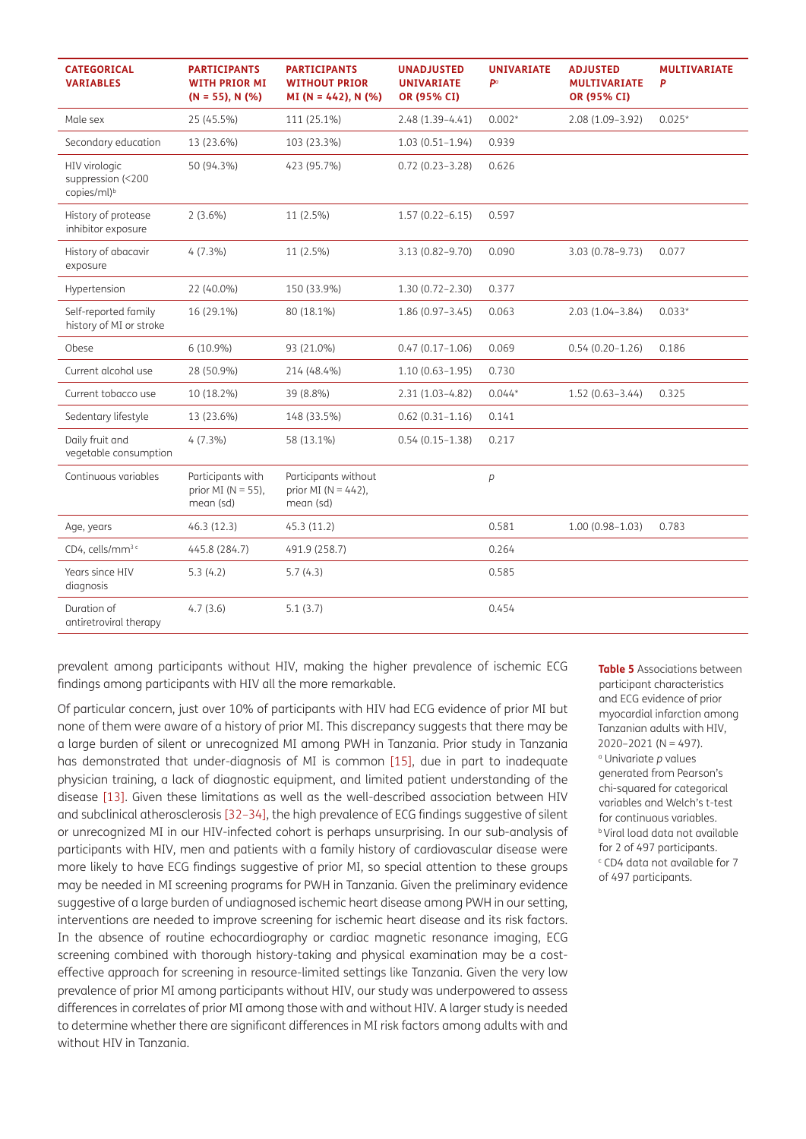| <b>CATEGORICAL</b><br><b>VARIABLES</b>                        | <b>PARTICIPANTS</b><br><b>WITH PRIOR MI</b><br>$(N = 55)$ , N $(\%)$ | <b>PARTICIPANTS</b><br><b>WITHOUT PRIOR</b><br>$MI(N = 442)$ , N (%) | <b>UNADJUSTED</b><br><b>UNIVARIATE</b><br>OR (95% CI) | <b>UNIVARIATE</b><br>pa | <b>ADJUSTED</b><br><b>MULTIVARIATE</b><br>OR (95% CI) | <b>MULTIVARIATE</b><br>P |
|---------------------------------------------------------------|----------------------------------------------------------------------|----------------------------------------------------------------------|-------------------------------------------------------|-------------------------|-------------------------------------------------------|--------------------------|
| Male sex                                                      | 25 (45.5%)                                                           | 111 (25.1%)                                                          | $2.48(1.39-4.41)$                                     | $0.002*$                | 2.08 (1.09-3.92)                                      | $0.025*$                 |
| Secondary education                                           | 13 (23.6%)                                                           | 103 (23.3%)                                                          | $1.03(0.51-1.94)$                                     | 0.939                   |                                                       |                          |
| HIV virologic<br>suppression (<200<br>copies/ml) <sup>b</sup> | 50 (94.3%)                                                           | 423 (95.7%)                                                          | $0.72(0.23 - 3.28)$                                   | 0.626                   |                                                       |                          |
| History of protease<br>inhibitor exposure                     | $2(3.6\%)$                                                           | 11 (2.5%)                                                            | $1.57(0.22 - 6.15)$                                   | 0.597                   |                                                       |                          |
| History of abacavir<br>exposure                               | $4(7.3\%)$                                                           | 11 (2.5%)                                                            | 3.13 (0.82-9.70)                                      | 0.090                   | 3.03 (0.78-9.73)                                      | 0.077                    |
| Hypertension                                                  | 22 (40.0%)                                                           | 150 (33.9%)                                                          | $1.30(0.72 - 2.30)$                                   | 0.377                   |                                                       |                          |
| Self-reported family<br>history of MI or stroke               | 16 (29.1%)                                                           | 80 (18.1%)                                                           | $1.86(0.97 - 3.45)$                                   | 0.063                   | $2.03(1.04 - 3.84)$                                   | $0.033*$                 |
| Obese                                                         | $6(10.9\%)$                                                          | 93 (21.0%)                                                           | $0.47(0.17 - 1.06)$                                   | 0.069                   | $0.54(0.20-1.26)$                                     | 0.186                    |
| Current alcohol use                                           | 28 (50.9%)                                                           | 214 (48.4%)                                                          | $1.10(0.63 - 1.95)$                                   | 0.730                   |                                                       |                          |
| Current tobacco use                                           | 10 (18.2%)                                                           | 39 (8.8%)                                                            | $2.31(1.03-4.82)$                                     | $0.044*$                | $1.52(0.63 - 3.44)$                                   | 0.325                    |
| Sedentary lifestyle                                           | 13 (23.6%)                                                           | 148 (33.5%)                                                          | $0.62(0.31 - 1.16)$                                   | 0.141                   |                                                       |                          |
| Daily fruit and<br>vegetable consumption                      | $4(7.3\%)$                                                           | 58 (13.1%)                                                           | $0.54(0.15 - 1.38)$                                   | 0.217                   |                                                       |                          |
| Continuous variables                                          | Participants with<br>prior MI ( $N = 55$ ),<br>mean (sd)             | Participants without<br>prior MI ( $N = 442$ ),<br>mean (sd)         |                                                       | р                       |                                                       |                          |
| Age, years                                                    | 46.3(12.3)                                                           | 45.3 (11.2)                                                          |                                                       | 0.581                   | $1.00(0.98 - 1.03)$                                   | 0.783                    |
| CD4, cells/mm <sup>3 c</sup>                                  | 445.8 (284.7)                                                        | 491.9 (258.7)                                                        |                                                       | 0.264                   |                                                       |                          |
| Years since HIV<br>diagnosis                                  | 5.3(4.2)                                                             | 5.7(4.3)                                                             |                                                       | 0.585                   |                                                       |                          |
| Duration of<br>antiretroviral therapy                         | 4.7(3.6)                                                             | 5.1(3.7)                                                             |                                                       | 0.454                   |                                                       |                          |

prevalent among participants without HIV, making the higher prevalence of ischemic ECG findings among participants with HIV all the more remarkable.

Of particular concern, just over 10% of participants with HIV had ECG evidence of prior MI but none of them were aware of a history of prior MI. This discrepancy suggests that there may be a large burden of silent or unrecognized MI among PWH in Tanzania. Prior study in Tanzania has demonstrated that under-diagnosis of MI is common [\[15\]](#page-11-10), due in part to inadequate physician training, a lack of diagnostic equipment, and limited patient understanding of the disease [\[13\]](#page-11-8). Given these limitations as well as the well-described association between HIV and subclinical atherosclerosis [\[32](#page-12-7)–[34\],](#page-12-8) the high prevalence of ECG findings suggestive of silent or unrecognized MI in our HIV-infected cohort is perhaps unsurprising. In our sub-analysis of participants with HIV, men and patients with a family history of cardiovascular disease were more likely to have ECG findings suggestive of prior MI, so special attention to these groups may be needed in MI screening programs for PWH in Tanzania. Given the preliminary evidence suggestive of a large burden of undiagnosed ischemic heart disease among PWH in our setting, interventions are needed to improve screening for ischemic heart disease and its risk factors. In the absence of routine echocardiography or cardiac magnetic resonance imaging, ECG screening combined with thorough history-taking and physical examination may be a costeffective approach for screening in resource-limited settings like Tanzania. Given the very low prevalence of prior MI among participants without HIV, our study was underpowered to assess differences in correlates of prior MI among those with and without HIV. A larger study is needed to determine whether there are significant differences in MI risk factors among adults with and without HIV in Tanzania.

<span id="page-8-0"></span>**Table 5** Associations between participant characteristics and ECG evidence of prior myocardial infarction among Tanzanian adults with HIV, 2020–2021 (N = 497). a Univariate *p* values generated from Pearson's chi-squared for categorical variables and Welch's t-test for continuous variables. **b** Viral load data not available for 2 of 497 participants. c CD4 data not available for 7 of 497 participants.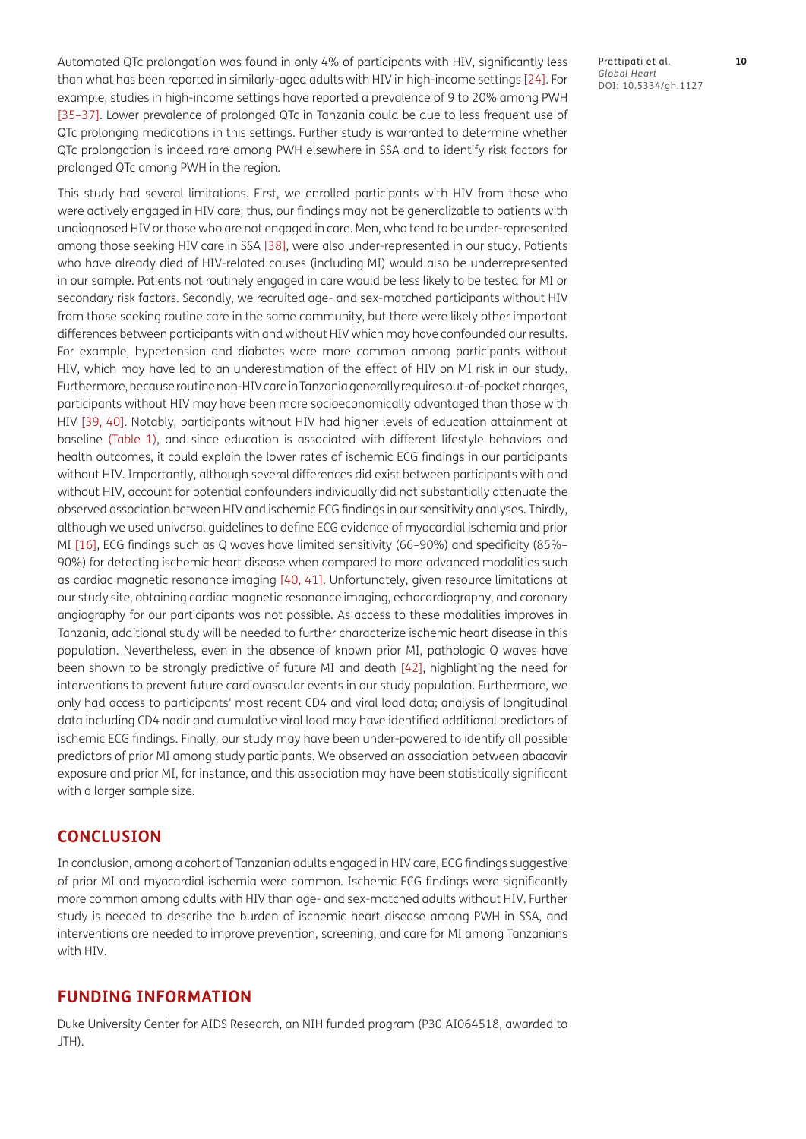Automated QTc prolongation was found in only 4% of participants with HIV, significantly less than what has been reported in similarly-aged adults with HIV in high-income settings [\[24\]](#page-12-0). For example, studies in high-income settings have reported a prevalence of 9 to 20% among PWH [\[35](#page-12-9)[–37\].](#page-12-10) Lower prevalence of prolonged QTc in Tanzania could be due to less frequent use of QTc prolonging medications in this settings. Further study is warranted to determine whether QTc prolongation is indeed rare among PWH elsewhere in SSA and to identify risk factors for prolonged QTc among PWH in the region.

This study had several limitations. First, we enrolled participants with HIV from those who were actively engaged in HIV care; thus, our findings may not be generalizable to patients with undiagnosed HIV or those who are not engaged in care. Men, who tend to be under-represented among those seeking HIV care in SSA [\[38\]](#page-12-11), were also under-represented in our study. Patients who have already died of HIV-related causes (including MI) would also be underrepresented in our sample. Patients not routinely engaged in care would be less likely to be tested for MI or secondary risk factors. Secondly, we recruited age- and sex-matched participants without HIV from those seeking routine care in the same community, but there were likely other important differences between participants with and without HIV which may have confounded our results. For example, hypertension and diabetes were more common among participants without HIV, which may have led to an underestimation of the effect of HIV on MI risk in our study. Furthermore, because routine non-HIV care in Tanzania generally requires out-of-pocket charges, participants without HIV may have been more socioeconomically advantaged than those with HIV [\[39](#page-12-12), [40\].](#page-12-13) Notably, participants without HIV had higher levels of education attainment at baseline ([Table 1\)](#page-5-0), and since education is associated with different lifestyle behaviors and health outcomes, it could explain the lower rates of ischemic ECG findings in our participants without HIV. Importantly, although several differences did exist between participants with and without HIV, account for potential confounders individually did not substantially attenuate the observed association between HIV and ischemic ECG findings in our sensitivity analyses. Thirdly, although we used universal guidelines to define ECG evidence of myocardial ischemia and prior MI [\[16\],](#page-11-11) ECG findings such as Q waves have limited sensitivity (66–90%) and specificity (85%– 90%) for detecting ischemic heart disease when compared to more advanced modalities such as cardiac magnetic resonance imaging [\[40](#page-12-13), [41\].](#page-12-14) Unfortunately, given resource limitations at our study site, obtaining cardiac magnetic resonance imaging, echocardiography, and coronary angiography for our participants was not possible. As access to these modalities improves in Tanzania, additional study will be needed to further characterize ischemic heart disease in this population. Nevertheless, even in the absence of known prior MI, pathologic Q waves have been shown to be strongly predictive of future MI and death [42], highlighting the need for interventions to prevent future cardiovascular events in our study population. Furthermore, we only had access to participants' most recent CD4 and viral load data; analysis of longitudinal data including CD4 nadir and cumulative viral load may have identified additional predictors of ischemic ECG findings. Finally, our study may have been under-powered to identify all possible predictors of prior MI among study participants. We observed an association between abacavir exposure and prior MI, for instance, and this association may have been statistically significant with a larger sample size.

#### **CONCLUSION**

In conclusion, among a cohort of Tanzanian adults engaged in HIV care, ECG findings suggestive of prior MI and myocardial ischemia were common. Ischemic ECG findings were significantly more common among adults with HIV than age- and sex-matched adults without HIV. Further study is needed to describe the burden of ischemic heart disease among PWH in SSA, and interventions are needed to improve prevention, screening, and care for MI among Tanzanians with HIV.

#### **FUNDING INFORMATION**

Duke University Center for AIDS Research, an NIH funded program (P30 AI064518, awarded to JTH).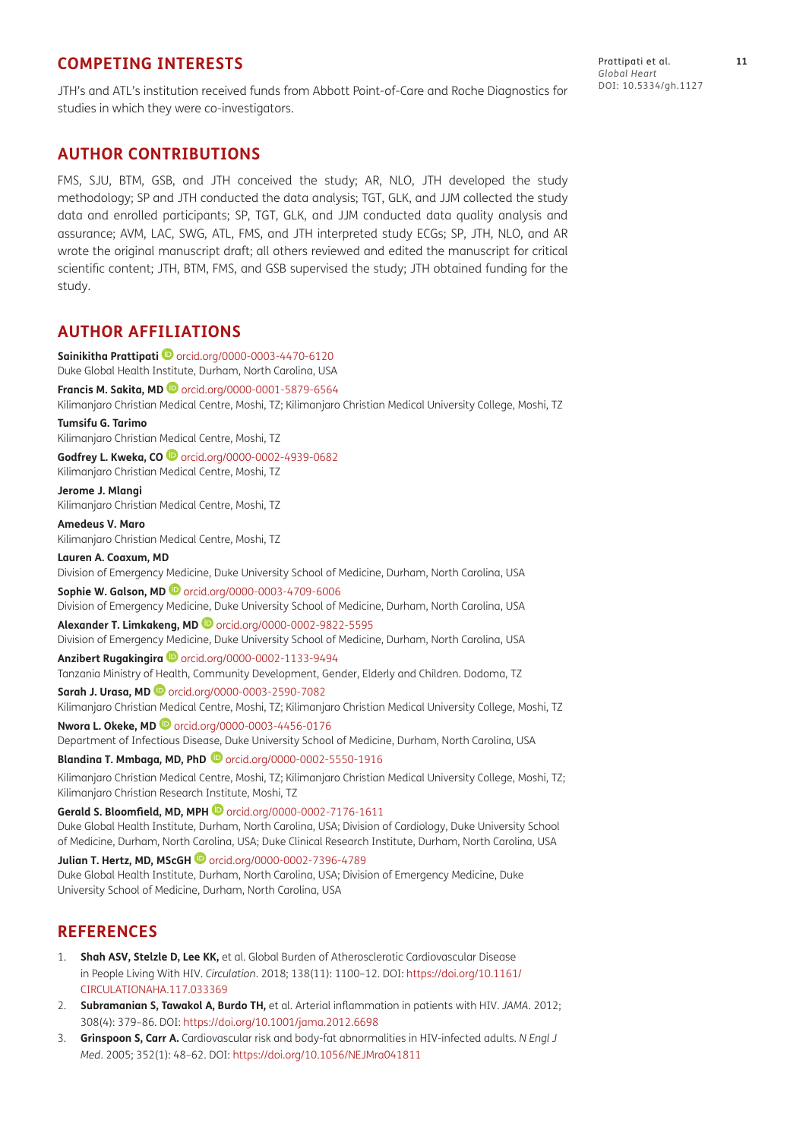## **COMPETING INTERESTS**

JTH's and ATL's institution received funds from Abbott Point-of-Care and Roche Diagnostics for studies in which they were co-investigators.

#### **AUTHOR CONTRIBUTIONS**

FMS, SJU, BTM, GSB, and JTH conceived the study; AR, NLO, JTH developed the study methodology; SP and JTH conducted the data analysis; TGT, GLK, and JJM collected the study data and enrolled participants; SP, TGT, GLK, and JJM conducted data quality analysis and assurance; AVM, LAC, SWG, ATL, FMS, and JTH interpreted study ECGs; SP, JTH, NLO, and AR wrote the original manuscript draft; all others reviewed and edited the manuscript for critical scientific content; JTH, BTM, FMS, and GSB supervised the study; JTH obtained funding for the study.

## <span id="page-10-0"></span>**AUTHOR AFFILIATIONS**

**Sainikitha Prattipati**[orcid.org/0000-0003-4470-6120](https://orcid.org/0000-0003-4470-6120) Duke Global Health Institute, Durham, North Carolina, USA **Francis M. Sakita, MD** [orcid.org/0000-0001-5879-6564](https://orcid.org/0000-0001-5879-6564) Kilimanjaro Christian Medical Centre, Moshi, TZ; Kilimanjaro Christian Medical University College, Moshi, TZ **Tumsifu G. Tarimo** Kilimanjaro Christian Medical Centre, Moshi, TZ **Godfrey L. Kweka, CO** [orcid.org/0000-0002-4939-0682](https://orcid.org/0000-0002-4939-0682) Kilimanjaro Christian Medical Centre, Moshi, TZ **Jerome J. Mlangi** Kilimanjaro Christian Medical Centre, Moshi, TZ **Amedeus V. Maro** Kilimanjaro Christian Medical Centre, Moshi, TZ **Lauren A. Coaxum, MD** Division of Emergency Medicine, Duke University School of Medicine, Durham, North Carolina, USA **Sophie W. Galson, MD** [orcid.org/0000-0003-4709-6006](https://orcid.org/0000-0003-4709-6006) Division of Emergency Medicine, Duke University School of Medicine, Durham, North Carolina, USA **Alexander T. Limkakeng, MD** [orcid.org/0000-0002-9822-5595](https://orcid.org/0000-0002-9822-5595) Division of Emergency Medicine, Duke University School of Medicine, Durham, North Carolina, USA Anzibert Rugakingira **D** [orcid.org/0000-0002-1133-9494](https://orcid.org/0000-0002-1133-9494) Tanzania Ministry of Health, Community Development, Gender, Elderly and Children. Dodoma, TZ **Sarah J. Urasa, MD**[orcid.org/0000-0003-2590-7082](https://orcid.org/0000-0003-2590-7082) Kilimanjaro Christian Medical Centre, Moshi, TZ; Kilimanjaro Christian Medical University College, Moshi, TZ **Nwora L. Okeke, MD** [orcid.org/0000-0003-4456-0176](https://orcid.org/0000-0003-4456-0176) Department of Infectious Disease, Duke University School of Medicine, Durham, North Carolina, USA **Blandina T. Mmbaga, MD, PhD** [orcid.org/0000-0002-5550-1916](https://orcid.org/0000-0002-5550-1916) Kilimanjaro Christian Medical Centre, Moshi, TZ; Kilimanjaro Christian Medical University College, Moshi, TZ; Kilimanjaro Christian Research Institute, Moshi, TZ **Gerald S. Bloomfield, MD, MPH**[orcid.org/0000-0002-7176-1611](https://orcid.org/0000-0002-7176-1611) Duke Global Health Institute, Durham, North Carolina, USA; Division of Cardiology, Duke University School of Medicine, Durham, North Carolina, USA; Duke Clinical Research Institute, Durham, North Carolina, USA **Julian T. Hertz, MD, MScGH**[orcid.org/0000-0002-7396-4789](https://orcid.org/0000-0002-7396-4789) Duke Global Health Institute, Durham, North Carolina, USA; Division of Emergency Medicine, Duke University School of Medicine, Durham, North Carolina, USA

## **REFERENCES**

- <span id="page-10-1"></span>1. **Shah ASV, Stelzle D, Lee KK,** et al. Global Burden of Atherosclerotic Cardiovascular Disease in People Living With HIV. *Circulation*. 2018; 138(11): 1100–12. DOI: [https://doi.org/10.1161/](https://doi.org/10.1161/CIRCULATIONAHA.117.033369) [CIRCULATIONAHA.117.033369](https://doi.org/10.1161/CIRCULATIONAHA.117.033369)
- <span id="page-10-2"></span>2. **Subramanian S, Tawakol A, Burdo TH,** et al. Arterial inflammation in patients with HIV. *JAMA*. 2012; 308(4): 379–86. DOI: <https://doi.org/10.1001/jama.2012.6698>
- <span id="page-10-3"></span>3. **Grinspoon S, Carr A.** Cardiovascular risk and body-fat abnormalities in HIV-infected adults. *N Engl J Med*. 2005; 352(1): 48–62. DOI:<https://doi.org/10.1056/NEJMra041811>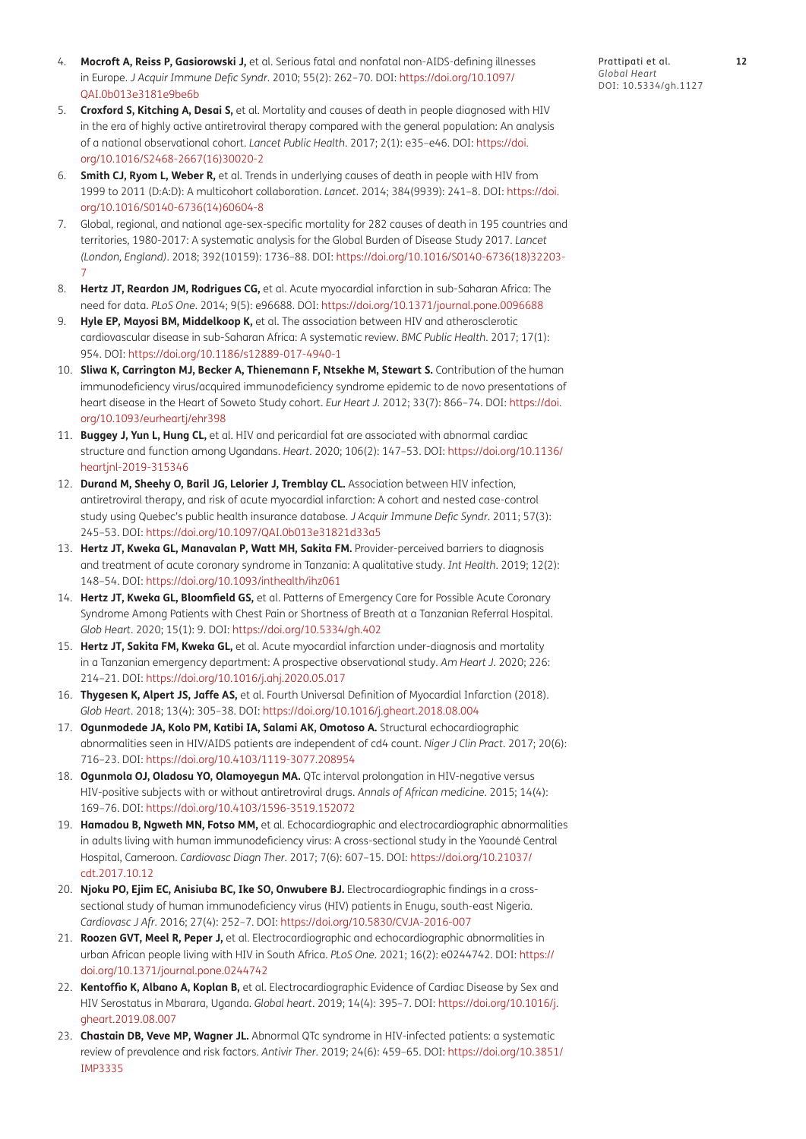- <span id="page-11-0"></span>4. **Mocroft A, Reiss P, Gasiorowski J,** et al. Serious fatal and nonfatal non-AIDS-defining illnesses in Europe. *J Acquir Immune Defic Syndr*. 2010; 55(2): 262–70. DOI: [https://doi.org/10.1097/](https://doi.org/10.1097/QAI.0b013e3181e9be6b) [QAI.0b013e3181e9be6b](https://doi.org/10.1097/QAI.0b013e3181e9be6b)
- 5. **Croxford S, Kitching A, Desai S,** et al. Mortality and causes of death in people diagnosed with HIV in the era of highly active antiretroviral therapy compared with the general population: An analysis of a national observational cohort. *Lancet Public Health*. 2017; 2(1): e35–e46. DOI: [https://doi.](https://doi.org/10.1016/S2468-2667(16)30020-2) [org/10.1016/S2468-2667\(16\)30020-2](https://doi.org/10.1016/S2468-2667(16)30020-2)
- <span id="page-11-1"></span>6. **Smith CJ, Ryom L, Weber R,** et al. Trends in underlying causes of death in people with HIV from 1999 to 2011 (D:A:D): A multicohort collaboration. *Lancet*. 2014; 384(9939): 241–8. DOI: [https://doi.](https://doi.org/10.1016/S0140-6736(14)60604-8) [org/10.1016/S0140-6736\(14\)60604-8](https://doi.org/10.1016/S0140-6736(14)60604-8)
- <span id="page-11-2"></span>7. Global, regional, and national age-sex-specific mortality for 282 causes of death in 195 countries and territories, 1980-2017: A systematic analysis for the Global Burden of Disease Study 2017. *Lancet (London, England)*. 2018; 392(10159): 1736–88. DOI: [https://doi.org/10.1016/S0140-6736\(18\)32203-](https://doi.org/10.1016/S0140-6736(18)32203-7) [7](https://doi.org/10.1016/S0140-6736(18)32203-7)
- <span id="page-11-3"></span>8. **Hertz JT, Reardon JM, Rodrigues CG,** et al. Acute myocardial infarction in sub-Saharan Africa: The need for data. *PLoS One*. 2014; 9(5): e96688. DOI: <https://doi.org/10.1371/journal.pone.0096688>
- <span id="page-11-4"></span>9. **Hyle EP, Mayosi BM, Middelkoop K,** et al. The association between HIV and atherosclerotic cardiovascular disease in sub-Saharan Africa: A systematic review. *BMC Public Health*. 2017; 17(1): 954. DOI: <https://doi.org/10.1186/s12889-017-4940-1>
- <span id="page-11-5"></span>10. **Sliwa K, Carrington MJ, Becker A, Thienemann F, Ntsekhe M, Stewart S.** Contribution of the human immunodeficiency virus/acquired immunodeficiency syndrome epidemic to de novo presentations of heart disease in the Heart of Soweto Study cohort. *Eur Heart J*. 2012; 33(7): 866–74. DOI: [https://doi.](https://doi.org/10.1093/eurheartj/ehr398) [org/10.1093/eurheartj/ehr398](https://doi.org/10.1093/eurheartj/ehr398)
- <span id="page-11-6"></span>11. **Buggey J, Yun L, Hung CL,** et al. HIV and pericardial fat are associated with abnormal cardiac structure and function among Ugandans. *Heart*. 2020; 106(2): 147–53. DOI: [https://doi.org/10.1136/](https://doi.org/10.1136/heartjnl-2019-315346) [heartjnl-2019-315346](https://doi.org/10.1136/heartjnl-2019-315346)
- <span id="page-11-7"></span>12. **Durand M, Sheehy O, Baril JG, Lelorier J, Tremblay CL.** Association between HIV infection, antiretroviral therapy, and risk of acute myocardial infarction: A cohort and nested case-control study using Quebec's public health insurance database. *J Acquir Immune Defic Syndr*. 2011; 57(3): 245–53. DOI: <https://doi.org/10.1097/QAI.0b013e31821d33a5>
- <span id="page-11-8"></span>13. **Hertz JT, Kweka GL, Manavalan P, Watt MH, Sakita FM.** Provider-perceived barriers to diagnosis and treatment of acute coronary syndrome in Tanzania: A qualitative study. *Int Health*. 2019; 12(2): 148–54. DOI: <https://doi.org/10.1093/inthealth/ihz061>
- <span id="page-11-9"></span>14. **Hertz JT, Kweka GL, Bloomfield GS,** et al. Patterns of Emergency Care for Possible Acute Coronary Syndrome Among Patients with Chest Pain or Shortness of Breath at a Tanzanian Referral Hospital. *Glob Heart*. 2020; 15(1): 9. DOI: <https://doi.org/10.5334/gh.402>
- <span id="page-11-10"></span>15. **Hertz JT, Sakita FM, Kweka GL,** et al. Acute myocardial infarction under-diagnosis and mortality in a Tanzanian emergency department: A prospective observational study. *Am Heart J*. 2020; 226: 214–21. DOI: <https://doi.org/10.1016/j.ahj.2020.05.017>
- <span id="page-11-11"></span>16. **Thygesen K, Alpert JS, Jaffe AS,** et al. Fourth Universal Definition of Myocardial Infarction (2018). *Glob Heart*. 2018; 13(4): 305–38. DOI:<https://doi.org/10.1016/j.gheart.2018.08.004>
- <span id="page-11-12"></span>17. **Ogunmodede JA, Kolo PM, Katibi IA, Salami AK, Omotoso A.** Structural echocardiographic abnormalities seen in HIV/AIDS patients are independent of cd4 count. *Niger J Clin Pract*. 2017; 20(6): 716–23. DOI: <https://doi.org/10.4103/1119-3077.208954>
- <span id="page-11-15"></span>18. **Ogunmola OJ, Oladosu YO, Olamoyegun MA.** QTc interval prolongation in HIV-negative versus HIV-positive subjects with or without antiretroviral drugs. *Annals of African medicine*. 2015; 14(4): 169–76. DOI: <https://doi.org/10.4103/1596-3519.152072>
- 19. **Hamadou B, Ngweth MN, Fotso MM,** et al. Echocardiographic and electrocardiographic abnormalities in adults living with human immunodeficiency virus: A cross-sectional study in the Yaoundé Central Hospital, Cameroon. *Cardiovasc Diagn Ther*. 2017; 7(6): 607–15. DOI: [https://doi.org/10.21037/](https://doi.org/10.21037/cdt.2017.10.12) [cdt.2017.10.12](https://doi.org/10.21037/cdt.2017.10.12)
- 20. **Njoku PO, Ejim EC, Anisiuba BC, Ike SO, Onwubere BJ.** Electrocardiographic findings in a crosssectional study of human immunodeficiency virus (HIV) patients in Enugu, south-east Nigeria. *Cardiovasc J Afr*. 2016; 27(4): 252–7. DOI:<https://doi.org/10.5830/CVJA-2016-007>
- <span id="page-11-13"></span>21. **Roozen GVT, Meel R, Peper J,** et al. Electrocardiographic and echocardiographic abnormalities in urban African people living with HIV in South Africa. *PLoS One*. 2021; 16(2): e0244742. DOI: [https://](https://doi.org/10.1371/journal.pone.0244742) [doi.org/10.1371/journal.pone.0244742](https://doi.org/10.1371/journal.pone.0244742)
- <span id="page-11-14"></span>22. **Kentoffio K, Albano A, Koplan B,** et al. Electrocardiographic Evidence of Cardiac Disease by Sex and HIV Serostatus in Mbarara, Uganda. *Global heart*. 2019; 14(4): 395–7. DOI: [https://doi.org/10.1016/j.](https://doi.org/10.1016/j.gheart.2019.08.007) [gheart.2019.08.007](https://doi.org/10.1016/j.gheart.2019.08.007)
- <span id="page-11-16"></span>23. **Chastain DB, Veve MP, Wagner JL.** Abnormal QTc syndrome in HIV-infected patients: a systematic review of prevalence and risk factors. *Antivir Ther*. 2019; 24(6): 459–65. DOI: [https://doi.org/10.3851/](https://doi.org/10.3851/IMP3335) [IMP3335](https://doi.org/10.3851/IMP3335)